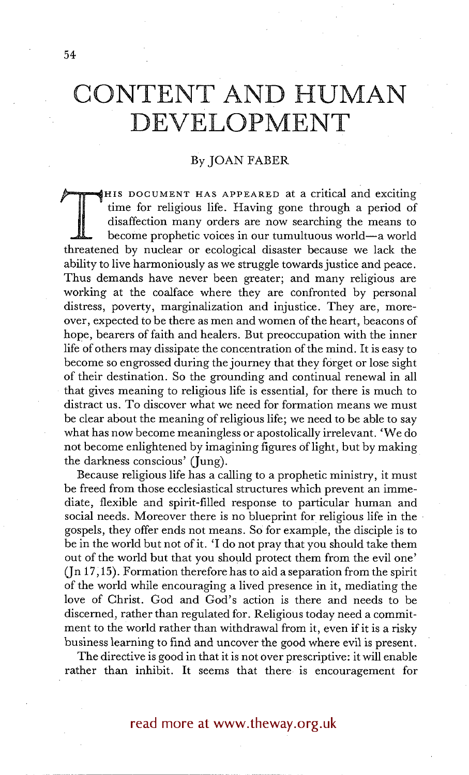## **CONTENT AND HUMAN DEVELOPMENT**

## By JOAN FABER

~==~HIS DOCUMENT HAS APPEARED at a critical and exciting time for religious life. Having gone through a period of disaffection many orders are now searching the means to become prophetic voices in our tumultuous world--a world threatened by nuclear or ecological disaster because we lack the ability to live harmoniously as we struggle towards justice and peace. Thus demands have never been greater; and many religious are working at the coalface where they are confronted by personal distress, poverty, marginalization and injustice. They are, moreover, expected to be there as men and women of the heart, beacons of hope, bearers of faith and healers. But preoccupation with the inner life of others may dissipate the concentration of the mind. It is easy to become so engrossed during the journey that they forget or lose sight of their destination. So the grounding and continual renewal in all that gives meaning to religious life is essential, for there is much to distract us. To discover what we need for formation means we must be clear about the meaning of religious life; we need to be able to say what has now become meaningless or apostolically irrelevant. 'We do not become enlightened by imagining figures of light, but by making the darkness conscious' (Jung).

Because religious life has a calling to a prophetic ministry, it must be freed from those ecclesiastical structures which prevent an immediate, flexible and spirit-filled response to particular human and social needs. Moreover there is no blueprint for religious life in the gospels, they offer ends not means. So for example, the disciple is to be in the world but not of it. 'I do not pray that you should take them out of the world but that you should protect them from the evil one'  $($ [n 17,15). Formation therefore has to aid a separation from the spirit of the world while encouraging a lived presence in it, mediating the love of Christ. God and God's action is there and needs to be discerned, rather than regulated for. Religious today need a commitment to the world rather than withdrawal from it, even if it is a risky business learning to find and uncover the good where evil is present.

The directive is good in that it is not over prescriptive: it will enable rather than inhibit. It seems that there is encouragement for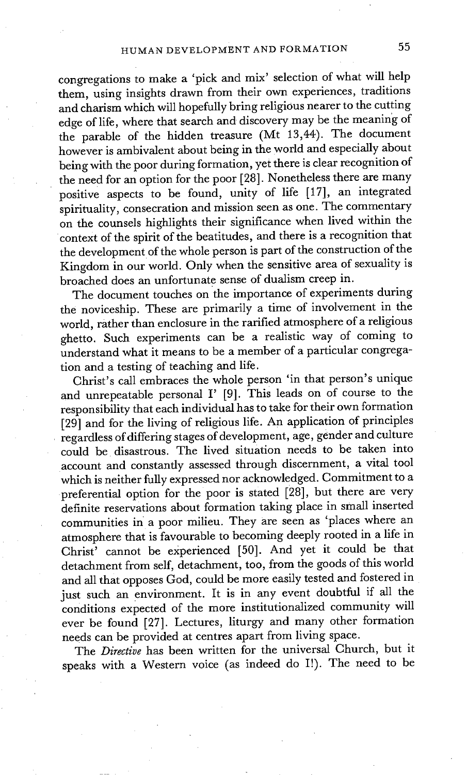congregations to make a 'pick and mix' selection of what will help them, using insights drawn from their own experiences, traditions and charism which will hopefully bring religious nearer to the cutting edge of life, where that search and discovery may be the meaning of the parable of the hidden treasure (Mt 13,44). The document however is ambivalent about being in the world and especially about being with the poor during formation, yet there is clear recognition of the need for an option for the poor [28]. Nonetheless there are many positive aspects to be found, unity of life [17], an integrated spirituality, consecration and mission seen as one. The commentary on the counsels highlights their significance when lived within the context of the spirit of the beatitudes, and there is a recognition that the development of the whole person is part of the construction of the Kingdom in our world. Only when the sensitive area of sexuality is broached does an unfortunate sense of dualism creep in.

The document touches on the importance of experiments during the noviceship. These are primarily a time of involvement in the world, rather than enclosure in the rarified atmosphere of a religious ghetto. Such experiments can be a realistic way of coming to understand what it means to be a member of a particular congregation and a testing of teaching and life.

Christ's call embraces the whole person 'in that person's unique and unrepeatable personal I' [9]. This leads on of course to the responsibility that each individual has to take for their own formation [29] and for the living of religious life. An application of principles regardless of differing stages of development, age, gender and culture could be disastrous. The lived situation needs to be taken into account and constantly assessed through discernment, a vital tool which is neither fully expressed nor acknowledged. Commitment to a preferential option for the poor is stated [28], but there are very definite reservations about formation taking place in small inserted communities in a poor milieu. They are seen as 'places where an atmosphere that is favourable to becoming deeply rooted in a life in Christ' cannot be experienced [50]. And yet it could be that detachment from self, detachment, too, from the goods of this world and all that opposes God, could be more easily tested and fostered in just such an environment. It is in any event doubtful if all the conditions expected of the more institutionalized community will ever be found [27]. Lectures, liturgy and many other formation needs can be provided at centres apart from living space.

The *Directive* has been written for the universal Church, but it speaks with a Western voice (as indeed do I!). The need to be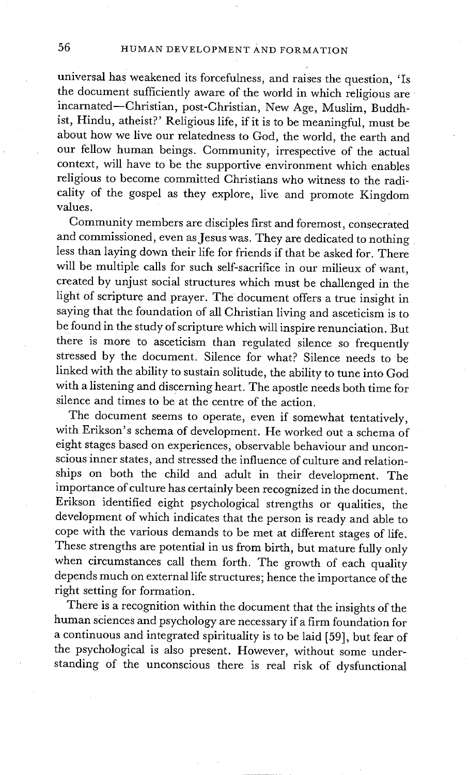universal has weakened its forcefulness, and raises the question, 'Is the document sufficiently aware of the world in which religious are incarnated--Christian, post-Christian, New Age, Muslim, Buddhist, Hindu, atheist?' Religious life, if it is to be meaningful, must be about how we live our relatedness to God, the world, the earth and our fellow human beings. Community, irrespective of the actual context, will have to be the supportive environment which enables religious to become committed Christians who witness to the radicality of the gospel as they explore, live and promote Kingdom values.

Community members are disciples first and foremost, consecrated and commissioned, even as Jesus was. They are dedicated to nothing less than laying down their life for friends if that be asked for. There will be multiple calls for such self-sacrifice in our milieux of want, created by unjust social structures which must be challenged in the light of scripture and prayer. The document offers a true insight in saying that the foundation of all Christian living and asceticism is to be found in the study of scripture which will inspire renunciation. But there is more to asceticism than regulated silence so frequently stressed by the document. Silence for what? Silence needs to be linked with the ability to sustain solitude, the ability to tune into God with a listening and discerning heart. The apostle needs both time for silence and times to be at the centre of the action.

The document seems to operate, even if somewhat tentatively, with Erikson's schema of development. He worked out a schema of eight stages based on experiences, observable behaviour and unconscious inner states, and stressed the influence of culture and relationships on both the child and adult in their development. The importance of culture has certainly been recognized in the document. Erikson identified eight psychological strengths or qualities, the development of which indicates that the person is ready and able to cope with the various demands to be met at different stages of life. These strengths are potential in us from birth, but mature fully only when circumstances call them forth. The growth of each quality depends much on external life structures; hence the importance of the right setting for formation.

There is a recognition within the document that the insights of the human sciences and psychology are necessary if a firm foundation for a continuous and integrated spirituality is to be laid [59], but fear of the psychological is also present. However, without some understanding of the unconscious there is real risk of dysfunctional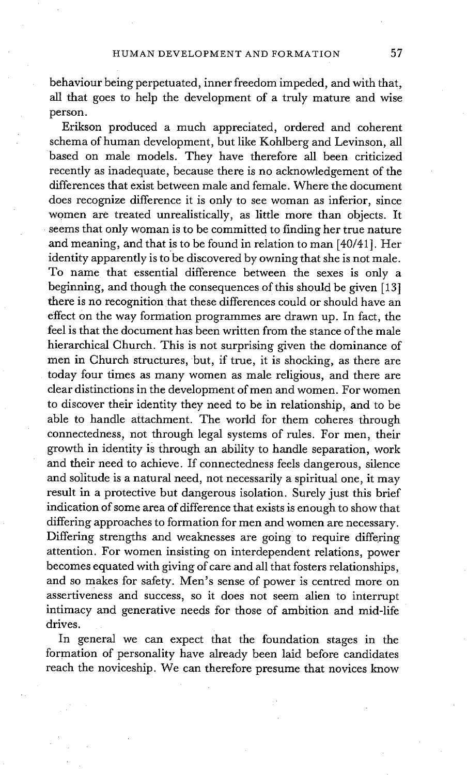behaviour being perpetuated, inner freedom impeded, and with that, all that goes to help the development of a truly mature and wise person.

Erikson produced a much appreciated, ordered and coherent schema of human development, but like Kohlberg and Levinson, all based on male models. They have therefore all been criticized recently as inadequate, because there is no acknowledgement of the differences that exist between male and female. Where the document does recognize difference it is only to see woman as inferior, since women are treated unrealistically, as little more than objects. It seems that only woman is to be committed to finding her true nature and meaning, and that is to be found in relation to man [40/41]. Her identity apparently is tobe discovered by owning that she is not male. To name that essential difference between the sexes is only a beginning, and though the consequences of this should be given [13] there is no recognition that these differences could or should have an effect On the way formation programmes are drawn up. In fact, the feel is that the document has been written from the stance of the male hierarchical Church. This is not surprising given the dominance of men in Church structures, but, if true, it is shocking, as there are today four times as many women as male religious, and there are clear distinctions in the development of men and women. For women to discover their identity they need to be in relationship, and to be able to handle attachment. The world for them coheres through connectedness, not through legal systems of rules. For men, their growth in identity is through an ability to handle separation, work and their need to achieve. If connectedness feels dangerous, silence and solitude is a natural need, not necessarily a spiritual one, it may result in a protective but dangerous isolation. Surely just this brief indication of some area of difference that exists is enough to show that differing approaches to formation for men and women are necessary. Differing strengths and weaknesses are going to require differing attention. For women insisting on interdependent relations, power becomes equated with giving of care and all that fosters relationships, and so makes for safety: Men's sense of power is centred more on assertiveness and success, so it does not seem alien to interrupt intimacy and generative needs for those of ambition and mid-life drives.

In general we can expect that the foundation stages in the formation of personality have already been laid before candidates reach the noviceship. We can therefore presume that novices know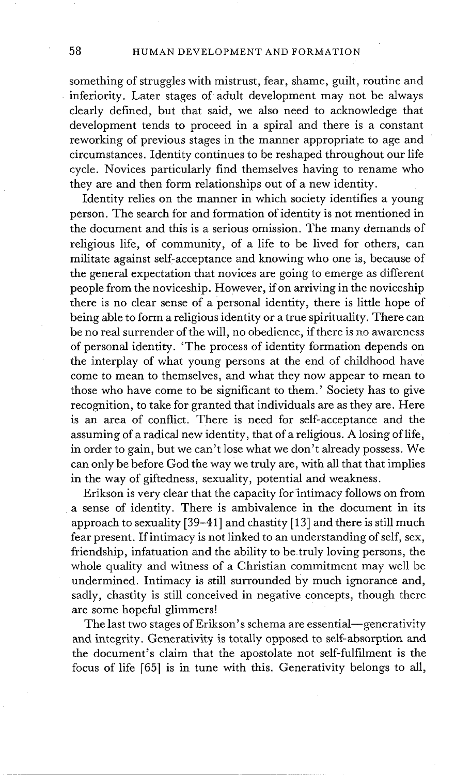something of struggles with mistrust, fear, shame, guilt, routine and inferiority. Later stages of adult development may not be always clearly defined, but that said, we also need to acknowledge that development tends to proceed in a spiral and there is a constant reworking of previous stages in the manner appropriate to age and circumstances. Identity continues to be reshaped throughout our life cycle. Novices particularly find themselves having to rename who they are and then form relationships out of a new identity.

Identity relies on the manner in which society identifies a young person. The search for and formation of identity is not mentioned in the document and this is a serious omission. The many demands of religious life, of community, of a life to be lived for others, can militate against self-acceptance and knowing who one is, because of the general expectation that novices are going to emerge as different people from the noviceship. However, if on arriving in the noviceship there is no clear sense of a personal identity, there is little hope of being able to form a religious identity or a true spirituality. There can be no real surrender of the will, no obedience, if there is no awareness of personal identity. 'The process of identity formation depends on the interplay of what young persons at the end of childhood have come to mean to themselves, and what they now appear to mean to those who have come to be significant to them.' Society has to give recognition, to take for granted that individuals are as they are. Here is an area of conflict. There is need for self-acceptance and the assuming of a radical new identity, that of a religious. A losing of life, in order to gain, but we can't lose what we don't already possess. We can only be before God the way we truly are, with all that that implies in the way of giftedness, sexuality, potential and weakness.

Erikson is very clear that the capacity for intimacy follows on from a sense of identity. There is ambivalence in the document in its approach to sexuality [39-41 ] and chastity [13] and there is still much fear present. If intimacy is not linked to an understanding of self, sex, friendship, infatuation and the ability to be truly loving persons, the whole quality and witness of a Christian commitment may well be undermined. Intimacy is still surrounded by much ignorance and, sadly, chastity is still conceived in negative concepts, though there are some hopeful glimmers!

The last two stages of Erikson's schema are essential-generativity and integrity. Generativity is totally opposed to self-absorption and the document's claim that the apostolate not self-fulfilment is the focus of life [65] is in tune with this. Generativity belongs to all,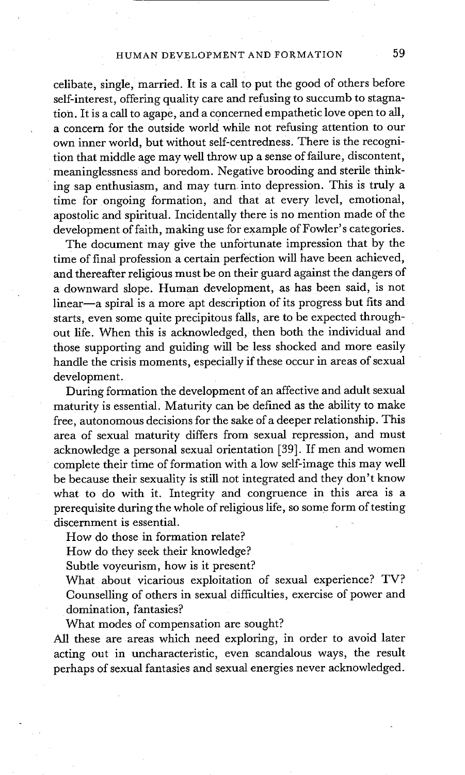celibate, single, married. It is a call to put the good of others before self-interest, offering quality care and refusing to succumb to stagnation. It is a call to agape, and a concerned empathetic love open to all, a concern for the outside world while not refusing attention to our own inner world, but without self-centredness. There is the recognition that middle age may well throw up a sense of failure, discontent, meaninglessness and boredom. Negative brooding and sterile thinking sap enthusiasm, and may turn into depression. This is truly a time for ongoing formation, and that at every level, emotional, apostolic and spiritual. Incidentally there is no mention made of the development of faith, making use for example of Fowler's categories.

The document may give the unfortunate impression that by the time of final profession a certain perfection will have been achieved, and thereafter religious must be on their guard against the dangers of a downward slope. Human development, as has been said, is not linear-a spiral is a more apt description of its progress but fits and starts, even some quite precipitous falls, are to be expected throughout life. When this is acknowledged, then both the individual and those supporting and guiding will be less shocked and more easily handle the crisis moments, especially if these occur in areas of sexual development.

During formation the development of an affective and adult sexual maturity is essential. Maturity can be defined as the ability to make free, autonomous decisions for the sake of a deeper relationship. This area of sexual maturity differs from sexual repression, and must acknowledge a personal sexual orientation [39]. If men and women complete their time of formation with a low self-image this may well be because their sexuality is still not integrated and they don't know what to do with it. Integrity and congruence in this area is a prerequisite during the whole of religious life, so some form of testing discernment is essential.

How do those in formation relate?

How do they seek their knowledge?

Subtle voyeurism, how is it present?

What about vicarious exploitation of sexual experience? TV? Counselling of others in sexual difficulties, exercise of power and domination, fantasies?

What modes of compensation are sought?

All these are areas which need exploring, in order to avoid later acting out in uncharacteristic, even scandalous ways, the result perhaps of sexual fantasies and sexual energies never acknowledged.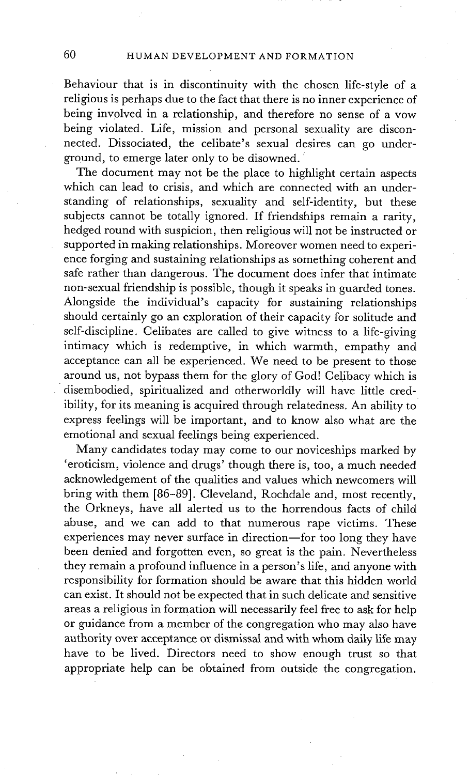Behaviour that is in discontinuity with the chosen life-style of a religious is perhaps due to the fact that there is no inner experience of being involved in a relationship, and therefore no sense of a vow being violated. Life, mission and personal sexuality are disconnected. Dissociated, the celibate's sexual desires can go underground, to emerge later only to be disowned. '

The document may not be the place to highlight certain aspects which can lead to crisis, and which are connected with an understanding of relationships, sexuality and self-identity, but these subjects cannot be totally ignored. If friendships remain a rarity, hedged round with suspicion, then religious will not be instructed or supported in making relationships. Moreover women need to experience forging and sustaining relationships as something coherent and safe rather than dangerous. The document does infer that intimate non-sexual friendship is possible, though it speaks in guarded tones. Alongside the individual's capacity for sustaining relationships should certainly go an exploration of their capacity for solitude and self-discipline. Celibates are called to give witness to a life-giving intimacy which is redemptive, in which warmth, empathy and acceptance can all be experienced. We need to be present to those around us, not bypass them for the glory of God! Celibacy which is disembodied, spiritualized and otherworldly will have little credibility, for its meaning is acquired through relatedness. An ability to express feelings will be important, and to know also what are the emotional and sexual feelings being experienced.

Many candidates today may come to our noviceships marked by 'eroticism, violence and drugs' though there is, too, a much needed acknowledgement of the qualities and values which newcomers will bring with them [86-89]. Cleveland, Rochdale and, most recently, the Orkneys, have all alerted us to the horrendous facts of child abuse, and we can add to that numerous rape victims. These experiences may never surface in direction—for too long they have been denied and forgotten even, so great is the pain. Nevertheless they remain a profound influence in a person's life, and anyone with responsibility for formation should be aware that this hidden world can exist. It should not be expected that in such delicate and sensitive areas a religious in formation will necessarily feel free to ask for help or guidance from a member of the congregation who may also have authority over acceptance or dismissal and with whom daily life may have to be lived. Directors need to show enough trust so that appropriate help can be obtained from outside the congregation.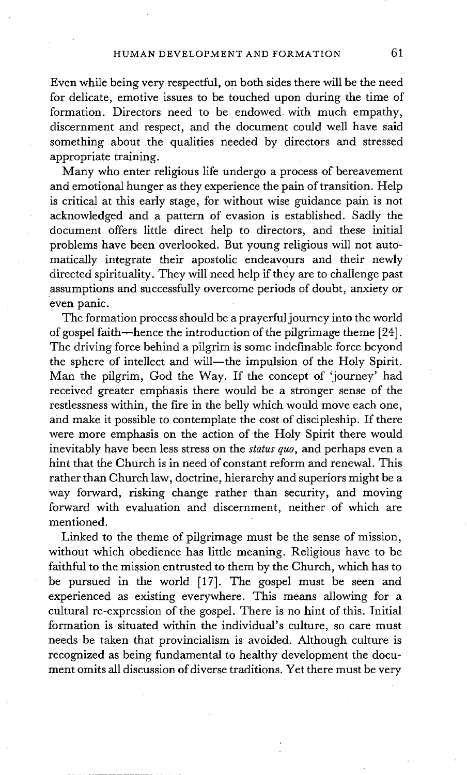Even while being very respectful, on both sides there will be the need for delicate, emotive issues to be touched upon during the time of formation. Directors need to be endowed with much empathy, discernment and respect, and the document could well have said something about the qualities needed by directors and stressed appropriate training.

Many who enter religious life undergo a process of bereavement and emotional hunger as they experience the pain of transition. Help is critical at this early stage, for without wise guidance pain is not acknowledged and a pattern of evasion is established. Sadly the document offers little direct help to directors, and these initial problems have been overlooked. But young religious will not automatically integrate their apostolic endeavours and their newly ~ directed spirituality. They will need help if they are to challenge past assumptions and successfully overcome periods of doubt, anxiety or even panic.

The formation process should be a prayerful journey into the world of gospel faith—hence the introduction of the pilgrimage theme  $[24]$ . The driving force behind a pilgrim is some indefinable force beyond the sphere of intellect and will—the impulsion of the Holy Spirit. Man the pilgrim, God the Way. If the concept of 'journey' had received greater emphasis there would be a stronger sense of the restlessness within, the fire in the belly which would move each one, and make it possible to contemplate the cost of discipleship. If there were more emphasis on the action of the Holy Spirit there would inevitably have been less stress on the *status quo,* and perhaps even a hint that the Church is in need of constant reform and renewal. This rather than Church law, doctrine, hierarchy and superiors might be a way forward, risking change rather than security, and moving forward with evaluation and discernment, neither of which are mentioned.

Linked to the theme of pilgrimage must be the sense of mission, without which obedience has little meaning. Religious have to be faithful to the mission entrusted to them by the Church, which has to be pursued in the world [17]. The gospel must be seen and experienced as existing everywhere. This means allowing for a cultural re-expression of the gospel. There is no hint of this. Initial formation is situated within the individual's culture, so care must needs be taken that provincialism is avoided. Although culture is recognized as being fundamental to healthy development the document omits all discussion of diverse traditions. Yet there must be very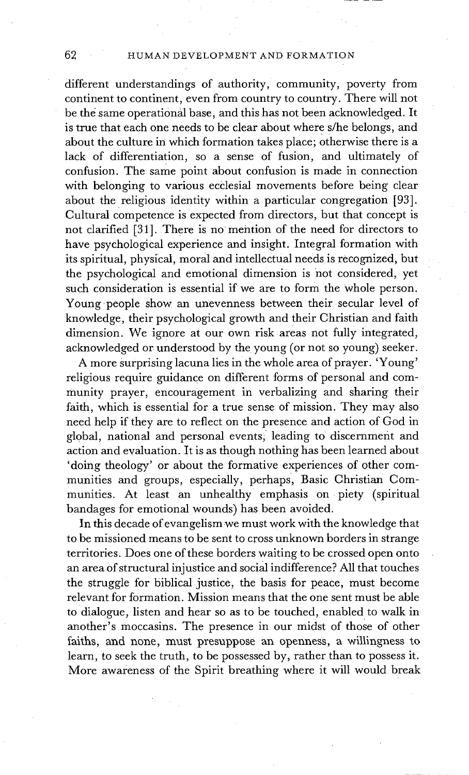different understandings of authority, community, poverty from continent to continent, even from country to country. There will not be the same operational base, and this has not been acknowledged. It is true that each one needs to be clear about where s/he belongs, and about the culture in which formation takes place; otherwise there is a lack of differentiation, so a sense of fusion, and ultimately of confusion. The same point about confusion is made in connection with belonging to various ecdesial movements before being clear about the religious identity within a particular congregation [93]. Cultural competence is expected from directors, but that concept is not clarified [31]. There is no mention of the need for directors to have psychological experience and insight. Integral formation with its spiritual, physical, moral and intellectual needs is recognized, but the psychological and emotional dimension is not considered, yet such consideration is essential if we are to form the Whole person. Young people show an unevenness between their secular level of knowledge, their psychological growth and their Christian and faith dimension. We ignore at our own risk areas not fully integrated, acknowledged or understood by the young (or not so young) seeker.

A more Surprising lacuna lies in the whole area of prayer. 'Young' religious require guidance on different forms of personal and community prayer, encouragement in verbalizing and sharing their faith, which is essential for a true sense of mission. They may also need help if they are to reflect on the presence and action of God in global, national and personal events; leading to discernment and action and evaluation. It is as though nothing has been learned about 'doing theology' or about the formative experiences of other communities and groups, especially, perhaps, Basic Christian **Com**munities. At least an unhealthy emphasis on piety (spiritual bandages for emotional wounds) has been avoided.

In this decade of evangelism we must work with the knowledge that to be missioned means to be sent to cross unknown borders in strange territories. Does one of these borders waiting to be crossed open onto an area of structural injustice and social indifference? All that touches the struggle for biblical justice, the basis for peace, must become relevant for formation. Mission means that the one sent must be able to dialogue, listen and hear so as to be touched, enabled to walk in another's moccasins. The presence in our midst of those of other faiths, and none, must presuppose an openness, a willingness to learn, to seek the truth, to be possessed by, rather than to possess it. More awareness of the Spirit breathing where it will would break